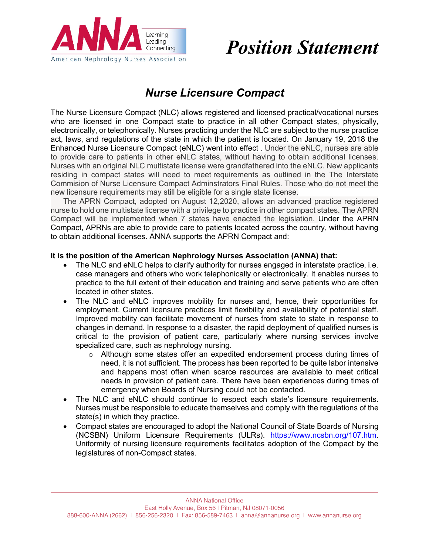

# *Position Statement*

# *Nurse Licensure Compact*

The Nurse Licensure Compact (NLC) allows registered and licensed practical/vocational nurses who are licensed in one Compact state to practice in all other Compact states, physically, electronically, or telephonically. Nurses practicing under the NLC are subject to the nurse practice act, laws, and regulations of the state in which the patient is located. On January 19, 2018 the Enhanced Nurse Licensure Compact (eNLC) went into effect . Under the eNLC, nurses are able to provide care to patients in other eNLC states, without having to obtain additional licenses. Nurses with an original NLC multistate license were grandfathered into the eNLC. New applicants residing in compact states will need to meet requirements as outlined in the The Interstate Commision of Nurse Licensure Compact Adminstrators Final Rules. Those who do not meet the new licensure requirements may still be eligible for a single state license.

The APRN Compact, adopted on August 12,2020, allows an advanced practice registered nurse to hold one multistate license with a privilege to practice in other compact states. The APRN Compact will be implemented when 7 states have enacted the legislation. Under the APRN Compact, APRNs are able to provide care to patients located across the country, without having to obtain additional licenses. ANNA supports the APRN Compact and:

## **It is the position of the American Nephrology Nurses Association (ANNA) that:**

- The NLC and eNLC helps to clarify authority for nurses engaged in interstate practice, i.e. case managers and others who work telephonically or electronically. It enables nurses to practice to the full extent of their education and training and serve patients who are often located in other states.
- The NLC and eNLC improves mobility for nurses and, hence, their opportunities for employment. Current licensure practices limit flexibility and availability of potential staff. Improved mobility can facilitate movement of nurses from state to state in response to changes in demand. In response to a disaster, the rapid deployment of qualified nurses is critical to the provision of patient care, particularly where nursing services involve specialized care, such as nephrology nursing.
	- o Although some states offer an expedited endorsement process during times of need, it is not sufficient. The process has been reported to be quite labor intensive and happens most often when scarce resources are available to meet critical needs in provision of patient care. There have been experiences during times of emergency when Boards of Nursing could not be contacted.
- The NLC and eNLC should continue to respect each state's licensure requirements. Nurses must be responsible to educate themselves and comply with the regulations of the state(s) in which they practice.
- Compact states are encouraged to adopt the National Council of State Boards of Nursing (NCSBN) Uniform Licensure Requirements (ULRs). https://www.ncsbn.org/107.htm. Uniformity of nursing licensure requirements facilitates adoption of the Compact by the legislatures of non-Compact states.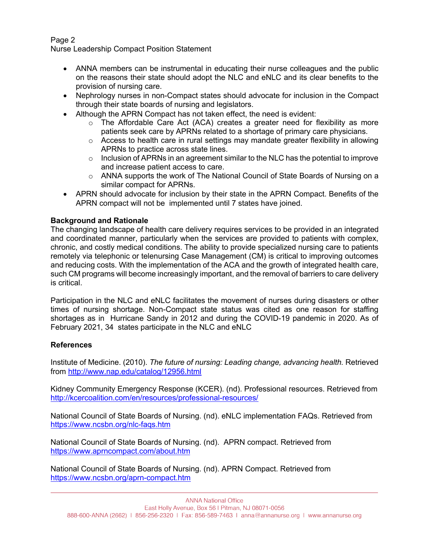# Page 2

Nurse Leadership Compact Position Statement

- ANNA members can be instrumental in educating their nurse colleagues and the public on the reasons their state should adopt the NLC and eNLC and its clear benefits to the provision of nursing care.
- Nephrology nurses in non-Compact states should advocate for inclusion in the Compact through their state boards of nursing and legislators.
- Although the APRN Compact has not taken effect, the need is evident:
	- $\circ$  The Affordable Care Act (ACA) creates a greater need for flexibility as more patients seek care by APRNs related to a shortage of primary care physicians.
	- $\circ$  Access to health care in rural settings may mandate greater flexibility in allowing APRNs to practice across state lines.
	- o Inclusion of APRNs in an agreement similar to the NLC has the potential to improve and increase patient access to care.
	- $\circ$  ANNA supports the work of The National Council of State Boards of Nursing on a similar compact for APRNs.
- APRN should advocate for inclusion by their state in the APRN Compact. Benefits of the APRN compact will not be implemented until 7 states have joined.

## **Background and Rationale**

The changing landscape of health care delivery requires services to be provided in an integrated and coordinated manner, particularly when the services are provided to patients with complex, chronic, and costly medical conditions. The ability to provide specialized nursing care to patients remotely via telephonic or telenursing Case Management (CM) is critical to improving outcomes and reducing costs. With the implementation of the ACA and the growth of integrated health care, such CM programs will become increasingly important, and the removal of barriers to care delivery is critical.

Participation in the NLC and eNLC facilitates the movement of nurses during disasters or other times of nursing shortage. Non-Compact state status was cited as one reason for staffing shortages as in Hurricane Sandy in 2012 and during the COVID-19 pandemic in 2020. As of February 2021, 34 states participate in the NLC and eNLC

## **References**

Institute of Medicine. (2010). *The future of nursing: Leading change, advancing health.* Retrieved from http://www.nap.edu/catalog/12956.html

Kidney Community Emergency Response (KCER). (nd). Professional resources. Retrieved from http://kcercoalition.com/en/resources/professional-resources/

National Council of State Boards of Nursing. (nd). eNLC implementation FAQs. Retrieved from https://www.ncsbn.org/nlc-faqs.htm

National Council of State Boards of Nursing. (nd). APRN compact. Retrieved from https://www.aprncompact.com/about.htm

National Council of State Boards of Nursing. (nd). APRN Compact. Retrieved from https://www.ncsbn.org/aprn-compact.htm